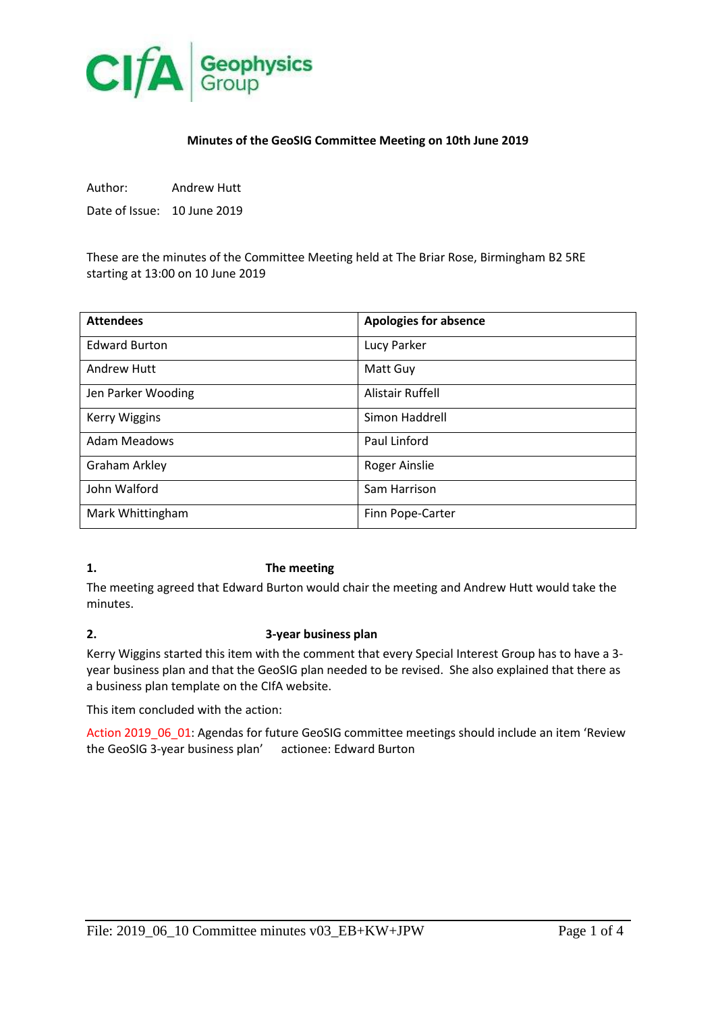

### **Minutes of the GeoSIG Committee Meeting on 10th June 2019**

Author: Andrew Hutt

Date of Issue: 10 June 2019

These are the minutes of the Committee Meeting held at The Briar Rose, Birmingham B2 5RE starting at 13:00 on 10 June 2019

| <b>Attendees</b>     | <b>Apologies for absence</b> |
|----------------------|------------------------------|
| <b>Edward Burton</b> | Lucy Parker                  |
| <b>Andrew Hutt</b>   | Matt Guy                     |
| Jen Parker Wooding   | <b>Alistair Ruffell</b>      |
| <b>Kerry Wiggins</b> | Simon Haddrell               |
| <b>Adam Meadows</b>  | Paul Linford                 |
| Graham Arkley        | Roger Ainslie                |
| John Walford         | Sam Harrison                 |
| Mark Whittingham     | Finn Pope-Carter             |

# **1. The meeting**

The meeting agreed that Edward Burton would chair the meeting and Andrew Hutt would take the minutes.

**2. 3-year business plan**

Kerry Wiggins started this item with the comment that every Special Interest Group has to have a 3 year business plan and that the GeoSIG plan needed to be revised. She also explained that there as a business plan template on the CIfA website.

This item concluded with the action:

Action 2019\_06\_01: Agendas for future GeoSIG committee meetings should include an item 'Review the GeoSIG 3-year business plan' actionee: Edward Burton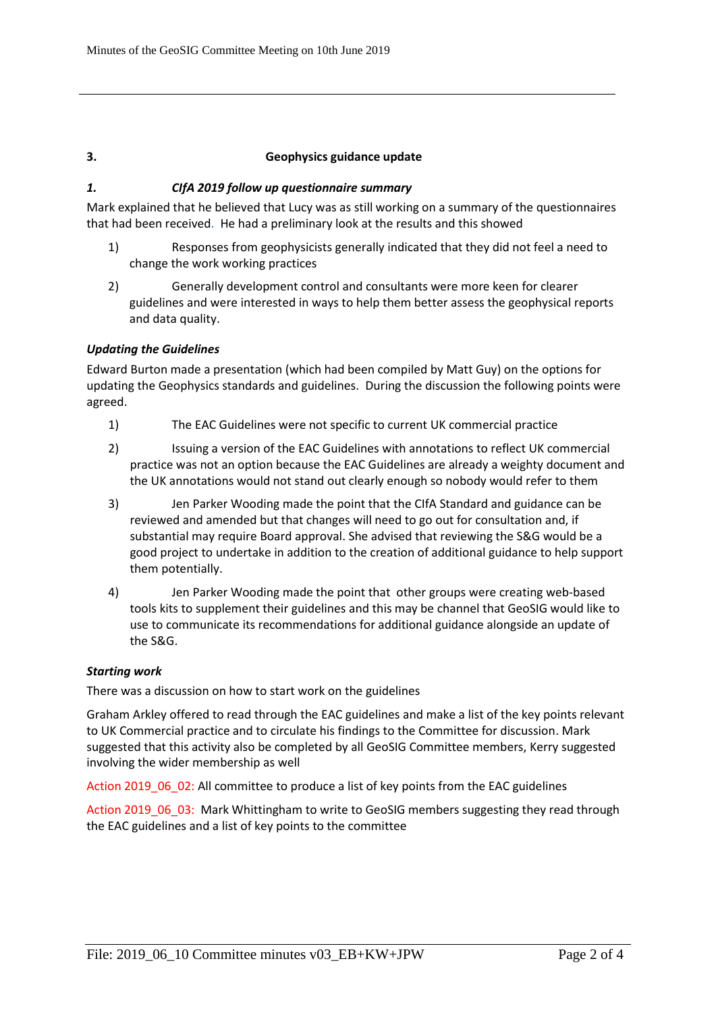# **3. Geophysics guidance update**

#### *1. CIfA 2019 follow up questionnaire summary*

Mark explained that he believed that Lucy was as still working on a summary of the questionnaires that had been received. He had a preliminary look at the results and this showed

- 1) Responses from geophysicists generally indicated that they did not feel a need to change the work working practices
- 2) Generally development control and consultants were more keen for clearer guidelines and were interested in ways to help them better assess the geophysical reports and data quality.

### *Updating the Guidelines*

Edward Burton made a presentation (which had been compiled by Matt Guy) on the options for updating the Geophysics standards and guidelines. During the discussion the following points were agreed.

- 1) The EAC Guidelines were not specific to current UK commercial practice
- 2) Issuing a version of the EAC Guidelines with annotations to reflect UK commercial practice was not an option because the EAC Guidelines are already a weighty document and the UK annotations would not stand out clearly enough so nobody would refer to them
- 3) Jen Parker Wooding made the point that the CIfA Standard and guidance can be reviewed and amended but that changes will need to go out for consultation and, if substantial may require Board approval. She advised that reviewing the S&G would be a good project to undertake in addition to the creation of additional guidance to help support them potentially.
- 4) Jen Parker Wooding made the point that other groups were creating web-based tools kits to supplement their guidelines and this may be channel that GeoSIG would like to use to communicate its recommendations for additional guidance alongside an update of the S&G.

#### *Starting work*

There was a discussion on how to start work on the guidelines

Graham Arkley offered to read through the EAC guidelines and make a list of the key points relevant to UK Commercial practice and to circulate his findings to the Committee for discussion. Mark suggested that this activity also be completed by all GeoSIG Committee members, Kerry suggested involving the wider membership as well

Action 2019\_06\_02: All committee to produce a list of key points from the EAC guidelines

Action 2019\_06\_03: Mark Whittingham to write to GeoSIG members suggesting they read through the EAC guidelines and a list of key points to the committee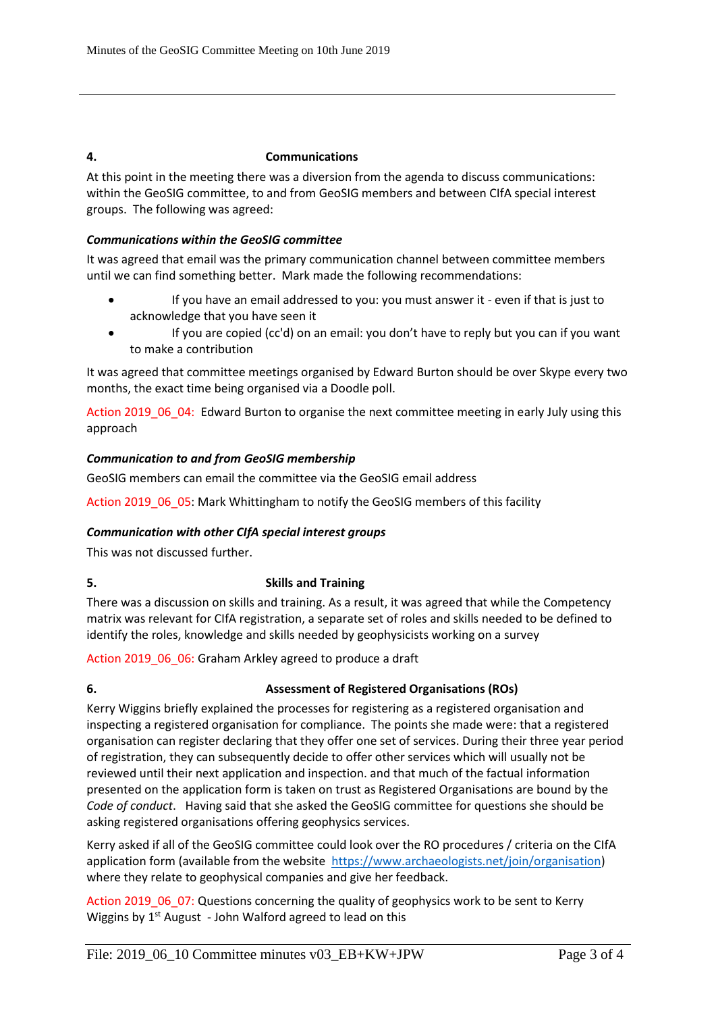# **4. Communications**

At this point in the meeting there was a diversion from the agenda to discuss communications: within the GeoSIG committee, to and from GeoSIG members and between CIfA special interest groups. The following was agreed:

#### *Communications within the GeoSIG committee*

It was agreed that email was the primary communication channel between committee members until we can find something better. Mark made the following recommendations:

- If you have an email addressed to you: you must answer it even if that is just to acknowledge that you have seen it
- If you are copied (cc'd) on an email: you don't have to reply but you can if you want to make a contribution

It was agreed that committee meetings organised by Edward Burton should be over Skype every two months, the exact time being organised via a Doodle poll.

Action 2019\_06\_04: Edward Burton to organise the next committee meeting in early July using this approach

### *Communication to and from GeoSIG membership*

GeoSIG members can email the committee via the GeoSIG email address

Action 2019 06 05: Mark Whittingham to notify the GeoSIG members of this facility

#### *Communication with other CIfA special interest groups*

This was not discussed further.

#### **5. Skills and Training**

There was a discussion on skills and training. As a result, it was agreed that while the Competency matrix was relevant for CIfA registration, a separate set of roles and skills needed to be defined to identify the roles, knowledge and skills needed by geophysicists working on a survey

Action 2019\_06\_06: Graham Arkley agreed to produce a draft

# **6. Assessment of Registered Organisations (ROs)**

Kerry Wiggins briefly explained the processes for registering as a registered organisation and inspecting a registered organisation for compliance. The points she made were: that a registered organisation can register declaring that they offer one set of services. During their three year period of registration, they can subsequently decide to offer other services which will usually not be reviewed until their next application and inspection. and that much of the factual information presented on the application form is taken on trust as Registered Organisations are bound by the *Code of conduct*. Having said that she asked the GeoSIG committee for questions she should be asking registered organisations offering geophysics services.

Kerry asked if all of the GeoSIG committee could look over the RO procedures / criteria on the CIfA application form (available from the website [https://www.archaeologists.net/join/organisation\)](https://www.archaeologists.net/join/organisation) where they relate to geophysical companies and give her feedback.

Action 2019\_06\_07: Questions concerning the quality of geophysics work to be sent to Kerry Wiggins by  $1^{st}$  August - John Walford agreed to lead on this